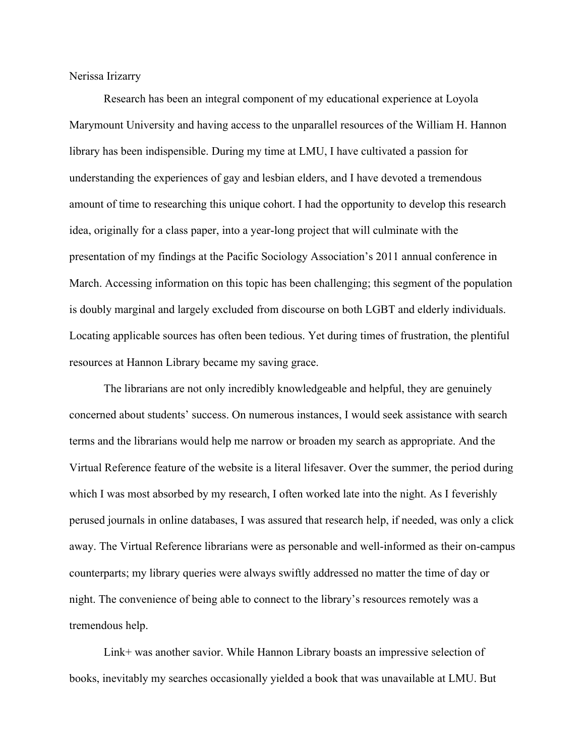Nerissa Irizarry

Research has been an integral component of my educational experience at Loyola Marymount University and having access to the unparallel resources of the William H. Hannon library has been indispensible. During my time at LMU, I have cultivated a passion for understanding the experiences of gay and lesbian elders, and I have devoted a tremendous amount of time to researching this unique cohort. I had the opportunity to develop this research idea, originally for a class paper, into a year-long project that will culminate with the presentation of my findings at the Pacific Sociology Association's 2011 annual conference in March. Accessing information on this topic has been challenging; this segment of the population is doubly marginal and largely excluded from discourse on both LGBT and elderly individuals. Locating applicable sources has often been tedious. Yet during times of frustration, the plentiful resources at Hannon Library became my saving grace.

The librarians are not only incredibly knowledgeable and helpful, they are genuinely concerned about students' success. On numerous instances, I would seek assistance with search terms and the librarians would help me narrow or broaden my search as appropriate. And the Virtual Reference feature of the website is a literal lifesaver. Over the summer, the period during which I was most absorbed by my research, I often worked late into the night. As I feverishly perused journals in online databases, I was assured that research help, if needed, was only a click away. The Virtual Reference librarians were as personable and well-informed as their on-campus counterparts; my library queries were always swiftly addressed no matter the time of day or night. The convenience of being able to connect to the library's resources remotely was a tremendous help.

Link+ was another savior. While Hannon Library boasts an impressive selection of books, inevitably my searches occasionally yielded a book that was unavailable at LMU. But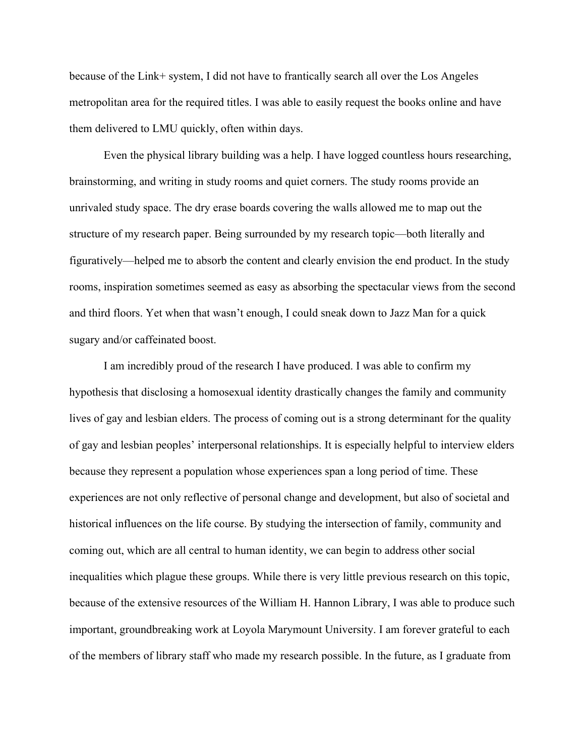because of the Link+ system, I did not have to frantically search all over the Los Angeles metropolitan area for the required titles. I was able to easily request the books online and have them delivered to LMU quickly, often within days.

Even the physical library building was a help. I have logged countless hours researching, brainstorming, and writing in study rooms and quiet corners. The study rooms provide an unrivaled study space. The dry erase boards covering the walls allowed me to map out the structure of my research paper. Being surrounded by my research topic—both literally and figuratively—helped me to absorb the content and clearly envision the end product. In the study rooms, inspiration sometimes seemed as easy as absorbing the spectacular views from the second and third floors. Yet when that wasn't enough, I could sneak down to Jazz Man for a quick sugary and/or caffeinated boost.

I am incredibly proud of the research I have produced. I was able to confirm my hypothesis that disclosing a homosexual identity drastically changes the family and community lives of gay and lesbian elders. The process of coming out is a strong determinant for the quality of gay and lesbian peoples' interpersonal relationships. It is especially helpful to interview elders because they represent a population whose experiences span a long period of time. These experiences are not only reflective of personal change and development, but also of societal and historical influences on the life course. By studying the intersection of family, community and coming out, which are all central to human identity, we can begin to address other social inequalities which plague these groups. While there is very little previous research on this topic, because of the extensive resources of the William H. Hannon Library, I was able to produce such important, groundbreaking work at Loyola Marymount University. I am forever grateful to each of the members of library staff who made my research possible. In the future, as I graduate from